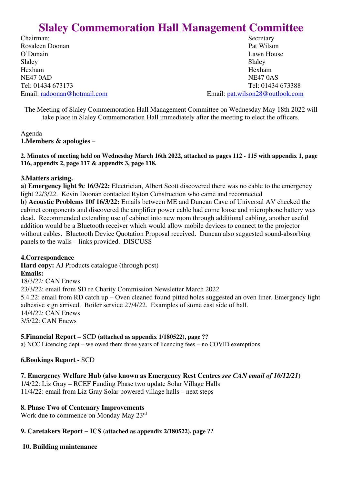# **Slaley Commemoration Hall Management Committee**

Chairman: Secretary Rosaleen Doonan Pat Wilson O'Dunain Lawn House Slaley Slaley Slaley Hexham Hexham NE47 0AD NE47 0AS

Tel: 01434 673173 Tel: 01434 673388 Email: radoonan@hotmail.com Email: pat.wilson28@outlook.com

The Meeting of Slaley Commemoration Hall Management Committee on Wednesday May 18th 2022 will take place in Slaley Commemoration Hall immediately after the meeting to elect the officers.

Agenda **1.Members & apologies** –

**2. Minutes of meeting held on Wednesday March 16th 2022, attached as pages 112 - 115 with appendix 1, page 116, appendix 2, page 117 & appendix 3, page 118.** 

# **3.Matters arising.**

**a) Emergency light 9c 16/3/22:** Electrician, Albert Scott discovered there was no cable to the emergency light 22/3/22. Kevin Doonan contacted Ryton Construction who came and reconnected **b) Acoustic Problems 10f 16/3/22:** Emails between ME and Duncan Cave of Universal AV checked the cabinet components and discovered the amplifier power cable had come loose and microphone battery was dead. Recommended extending use of cabinet into new room through additional cabling, another useful addition would be a Bluetooth receiver which would allow mobile devices to connect to the projector without cables. Bluetooth Device Quotation Proposal received. Duncan also suggested sound-absorbing panels to the walls – links provided. DISCUSS

# **4.Correspondence**

**Hard copy:** AJ Products catalogue (through post) **Emails:**  18/3/22: CAN Enews 23/3/22: email from SD re Charity Commission Newsletter March 2022 5.4.22: email from RD catch up – Oven cleaned found pitted holes suggested an oven liner. Emergency light adhesive sign arrived. Boiler service 27/4/22. Examples of stone east side of hall. 14/4/22: CAN Enews 3/5/22: CAN Enews

## **5.Financial Report –** SCD **(attached as appendix 1/180522), page ??**

a) NCC Licencing dept – we owed them three years of licencing fees – no COVID exemptions

# **6.Bookings Report -** SCD

# **7. Emergency Welfare Hub (also known as Emergency Rest Centres** *see CAN email of 10/12/21***)**

1/4/22: Liz Gray – RCEF Funding Phase two update Solar Village Halls 11/4/22: email from Liz Gray Solar powered village halls – next steps

# **8. Phase Two of Centenary Improvements**

Work due to commence on Monday May 23rd

# **9. Caretakers Report – ICS (attached as appendix 2/180522), page ??**

# **10. Building maintenance**